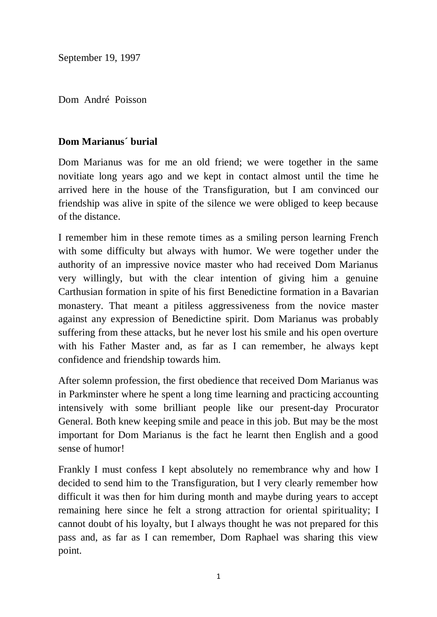September 19, 1997

Dom André Poisson

## **Dom Marianus´ burial**

Dom Marianus was for me an old friend; we were together in the same novitiate long years ago and we kept in contact almost until the time he arrived here in the house of the Transfiguration, but I am convinced our friendship was alive in spite of the silence we were obliged to keep because of the distance.

I remember him in these remote times as a smiling person learning French with some difficulty but always with humor. We were together under the authority of an impressive novice master who had received Dom Marianus very willingly, but with the clear intention of giving him a genuine Carthusian formation in spite of his first Benedictine formation in a Bavarian monastery. That meant a pitiless aggressiveness from the novice master against any expression of Benedictine spirit. Dom Marianus was probably suffering from these attacks, but he never lost his smile and his open overture with his Father Master and, as far as I can remember, he always kept confidence and friendship towards him.

After solemn profession, the first obedience that received Dom Marianus was in Parkminster where he spent a long time learning and practicing accounting intensively with some brilliant people like our present-day Procurator General. Both knew keeping smile and peace in this job. But may be the most important for Dom Marianus is the fact he learnt then English and a good sense of humor!

Frankly I must confess I kept absolutely no remembrance why and how I decided to send him to the Transfiguration, but I very clearly remember how difficult it was then for him during month and maybe during years to accept remaining here since he felt a strong attraction for oriental spirituality; I cannot doubt of his loyalty, but I always thought he was not prepared for this pass and, as far as I can remember, Dom Raphael was sharing this view point.